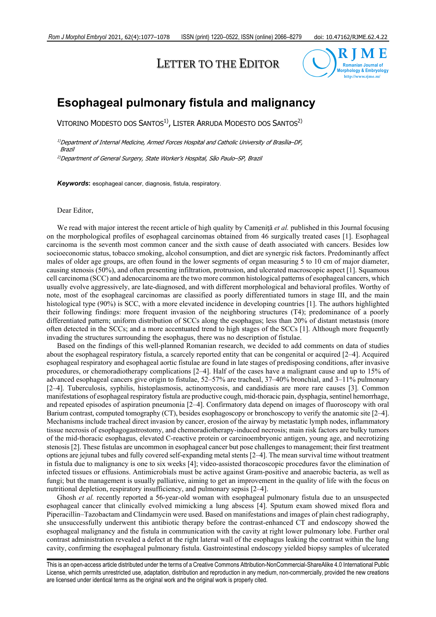# LETTER TO THE EDITOR



## **Esophageal pulmonary fistula and malignancy**

VITORINO MODESTO DOS SANTOS<sup>1)</sup>, LISTER ARRUDA MODESTO DOS SANTOS<sup>2)</sup>

1)Department of Internal Medicine, Armed Forces Hospital and Catholic University of Brasília–DF, Brazil

2)Department of General Surgery, State Worker's Hospital, São Paulo–SP, Brazil

*Keywords***:** esophageal cancer, diagnosis, fistula, respiratory.

#### Dear Editor,

We read with major interest the recent article of high quality by Camenită *et al.* published in this Journal focusing on the morphological profiles of esophageal carcinomas obtained from 46 surgically treated cases [1]. Esophageal carcinoma is the seventh most common cancer and the sixth cause of death associated with cancers. Besides low socioeconomic status, tobacco smoking, alcohol consumption, and diet are synergic risk factors. Predominantly affect males of older age groups, are often found in the lower segments of organ measuring 5 to 10 cm of major diameter, causing stenosis (50%), and often presenting infiltration, protrusion, and ulcerated macroscopic aspect [1]. Squamous cell carcinoma (SCC) and adenocarcinoma are the two more common histological patterns of esophageal cancers, which usually evolve aggressively, are late-diagnosed, and with different morphological and behavioral profiles. Worthy of note, most of the esophageal carcinomas are classified as poorly differentiated tumors in stage III, and the main histological type (90%) is SCC, with a more elevated incidence in developing countries [1]. The authors highlighted their following findings: more frequent invasion of the neighboring structures (T4); predominance of a poorly differentiated pattern; uniform distribution of SCCs along the esophagus; less than 20% of distant metastasis (more often detected in the SCCs; and a more accentuated trend to high stages of the SCCs [1]. Although more frequently invading the structures surrounding the esophagus, there was no description of fistulae.

Based on the findings of this well-planned Romanian research, we decided to add comments on data of studies about the esophageal respiratory fistula, a scarcely reported entity that can be congenital or acquired [2–4]. Acquired esophageal respiratory and esophageal aortic fistulae are found in late stages of predisposing conditions, after invasive procedures, or chemoradiotherapy complications [2–4]. Half of the cases have a malignant cause and up to 15% of advanced esophageal cancers give origin to fistulae, 52–57% are tracheal, 37–40% bronchial, and 3–11% pulmonary [2–4]. Tuberculosis, syphilis, histoplasmosis, actinomycosis, and candidiasis are more rare causes [3]. Common manifestations of esophageal respiratory fistula are productive cough, mid-thoracic pain, dysphagia, sentinel hemorrhage, and repeated episodes of aspiration pneumonia [2–4]. Confirmatory data depend on images of fluoroscopy with oral Barium contrast, computed tomography (CT), besides esophagoscopy or bronchoscopy to verify the anatomic site [2–4]. Mechanisms include tracheal direct invasion by cancer, erosion of the airway by metastatic lymph nodes, inflammatory tissue necrosis of esophagogastrostomy, and chemoradiotherapy-induced necrosis; main risk factors are bulky tumors of the mid-thoracic esophagus, elevated C-reactive protein or carcinoembryonic antigen, young age, and necrotizing stenosis [2]. These fistulas are uncommon in esophageal cancer but pose challenges to management; their first treatment options are jejunal tubes and fully covered self-expanding metal stents [2–4]. The mean survival time without treatment in fistula due to malignancy is one to six weeks [4]; video-assisted thoracoscopic procedures favor the elimination of infected tissues or effusions. Antimicrobials must be active against Gram-positive and anaerobic bacteria, as well as fungi; but the management is usually palliative, aiming to get an improvement in the quality of life with the focus on nutritional depletion, respiratory insufficiency, and pulmonary sepsis [2–4].

Ghosh *et al.* recently reported a 56-year-old woman with esophageal pulmonary fistula due to an unsuspected esophageal cancer that clinically evolved mimicking a lung abscess [4]. Sputum exam showed mixed flora and Piperacillin–Tazobactam and Clindamycin were used. Based on manifestations and images of plain chest radiography, she unsuccessfully underwent this antibiotic therapy before the contrast-enhanced CT and endoscopy showed the esophageal malignancy and the fistula in communication with the cavity at right lower pulmonary lobe. Further oral contrast administration revealed a defect at the right lateral wall of the esophagus leaking the contrast within the lung cavity, confirming the esophageal pulmonary fistula. Gastrointestinal endoscopy yielded biopsy samples of ulcerated

This is an open-access article distributed under the terms of a Creative Commons Attribution-NonCommercial-ShareAlike 4.0 International Public License, which permits unrestricted use, adaptation, distribution and reproduction in any medium, non-commercially, provided the new creations are licensed under identical terms as the original work and the original work is properly cited.